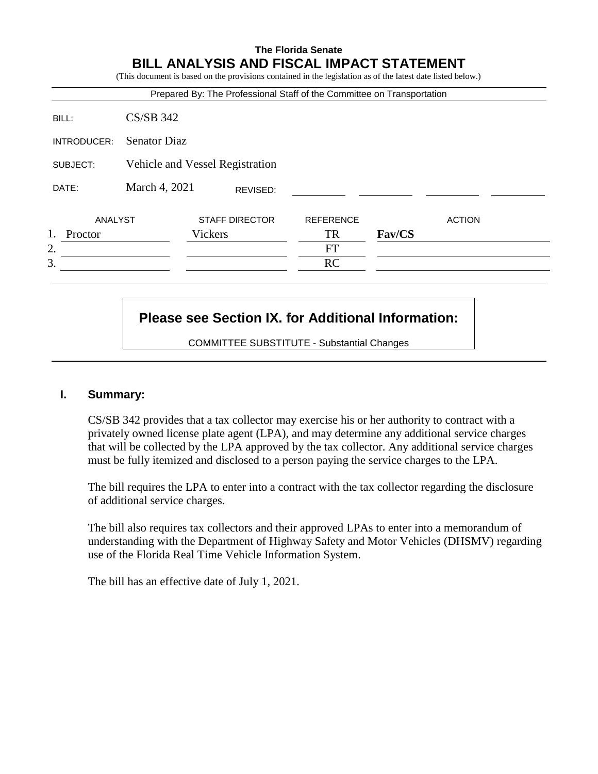# **The Florida Senate BILL ANALYSIS AND FISCAL IMPACT STATEMENT**

|             |                                 |         |                       | (This document is based on the provisions contained in the legislation as of the latest date listed below.)<br>Prepared By: The Professional Staff of the Committee on Transportation |        |               |  |
|-------------|---------------------------------|---------|-----------------------|---------------------------------------------------------------------------------------------------------------------------------------------------------------------------------------|--------|---------------|--|
| BILL:       | $CS/SB$ 342                     |         |                       |                                                                                                                                                                                       |        |               |  |
| INTRODUCER: | <b>Senator Diaz</b>             |         |                       |                                                                                                                                                                                       |        |               |  |
| SUBJECT:    | Vehicle and Vessel Registration |         |                       |                                                                                                                                                                                       |        |               |  |
| DATE:       | March 4, 2021                   |         | REVISED:              |                                                                                                                                                                                       |        |               |  |
| ANALYST     |                                 |         | <b>STAFF DIRECTOR</b> | <b>REFERENCE</b>                                                                                                                                                                      |        | <b>ACTION</b> |  |
| Proctor     |                                 | Vickers |                       | TR                                                                                                                                                                                    | Fav/CS |               |  |
| 2.          |                                 |         |                       | FT                                                                                                                                                                                    |        |               |  |
| 3.          |                                 |         |                       | <b>RC</b>                                                                                                                                                                             |        |               |  |

# **Please see Section IX. for Additional Information:**

COMMITTEE SUBSTITUTE - Substantial Changes

# **I. Summary:**

CS/SB 342 provides that a tax collector may exercise his or her authority to contract with a privately owned license plate agent (LPA), and may determine any additional service charges that will be collected by the LPA approved by the tax collector. Any additional service charges must be fully itemized and disclosed to a person paying the service charges to the LPA.

The bill requires the LPA to enter into a contract with the tax collector regarding the disclosure of additional service charges.

The bill also requires tax collectors and their approved LPAs to enter into a memorandum of understanding with the Department of Highway Safety and Motor Vehicles (DHSMV) regarding use of the Florida Real Time Vehicle Information System.

The bill has an effective date of July 1, 2021.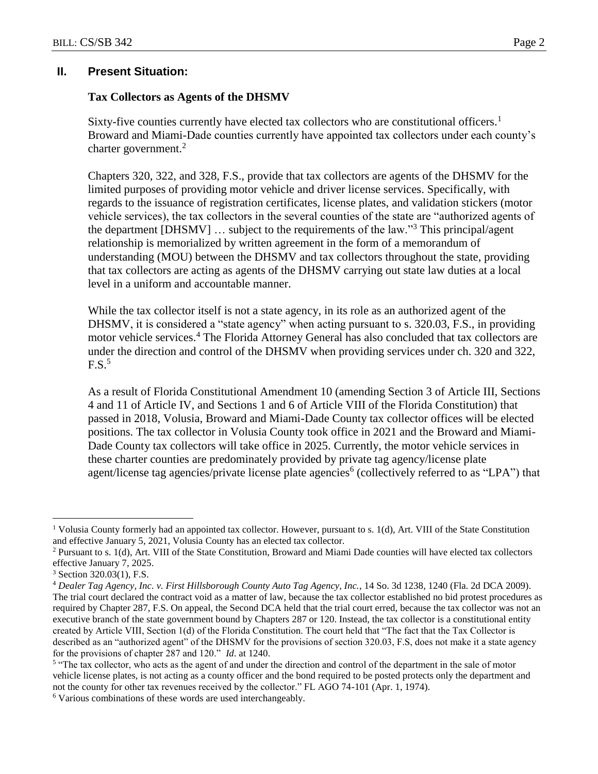#### **II. Present Situation:**

#### **Tax Collectors as Agents of the DHSMV**

Sixty-five counties currently have elected tax collectors who are constitutional officers.<sup>1</sup> Broward and Miami-Dade counties currently have appointed tax collectors under each county's charter government. $2$ 

Chapters 320, 322, and 328, F.S., provide that tax collectors are agents of the DHSMV for the limited purposes of providing motor vehicle and driver license services. Specifically, with regards to the issuance of registration certificates, license plates, and validation stickers (motor vehicle services), the tax collectors in the several counties of the state are "authorized agents of the department [DHSMV]  $\ldots$  subject to the requirements of the law."<sup>3</sup> This principal/agent relationship is memorialized by written agreement in the form of a memorandum of understanding (MOU) between the DHSMV and tax collectors throughout the state, providing that tax collectors are acting as agents of the DHSMV carrying out state law duties at a local level in a uniform and accountable manner.

While the tax collector itself is not a state agency, in its role as an authorized agent of the DHSMV, it is considered a "state agency" when acting pursuant to s. 320.03, F.S., in providing motor vehicle services.<sup>4</sup> The Florida Attorney General has also concluded that tax collectors are under the direction and control of the DHSMV when providing services under ch. 320 and 322,  $F.S.^5$ 

As a result of Florida Constitutional Amendment 10 (amending Section 3 of Article III, Sections 4 and 11 of Article IV, and Sections 1 and 6 of Article VIII of the Florida Constitution) that passed in 2018, Volusia, Broward and Miami-Dade County tax collector offices will be elected positions. The tax collector in Volusia County took office in 2021 and the Broward and Miami-Dade County tax collectors will take office in 2025. Currently, the motor vehicle services in these charter counties are predominately provided by private tag agency/license plate agent/license tag agencies/private license plate agencies<sup>6</sup> (collectively referred to as "LPA") that

<sup>&</sup>lt;sup>1</sup> Volusia County formerly had an appointed tax collector. However, pursuant to s. 1(d), Art. VIII of the State Constitution and effective January 5, 2021, Volusia County has an elected tax collector.

<sup>&</sup>lt;sup>2</sup> Pursuant to s. 1(d), Art. VIII of the State Constitution, Broward and Miami Dade counties will have elected tax collectors effective January 7, 2025.

 $3$  Section 320.03(1), F.S.

<sup>4</sup> *Dealer Tag Agency, Inc. v. First Hillsborough County Auto Tag Agency, Inc.*, 14 So. 3d 1238, 1240 (Fla. 2d DCA 2009). The trial court declared the contract void as a matter of law, because the tax collector established no bid protest procedures as required by Chapter 287, F.S. On appeal, the Second DCA held that the trial court erred, because the tax collector was not an executive branch of the state government bound by Chapters 287 or 120. Instead, the tax collector is a constitutional entity created by Article VIII, Section 1(d) of the Florida Constitution. The court held that "The fact that the Tax Collector is described as an "authorized agent" of the DHSMV for the provisions of section 320.03, F.S, does not make it a state agency for the provisions of chapter 287 and 120." *Id*. at 1240.

<sup>&</sup>lt;sup>5</sup> "The tax collector, who acts as the agent of and under the direction and control of the department in the sale of motor vehicle license plates, is not acting as a county officer and the bond required to be posted protects only the department and not the county for other tax revenues received by the collector." FL AGO 74-101 (Apr. 1, 1974).

<sup>6</sup> Various combinations of these words are used interchangeably.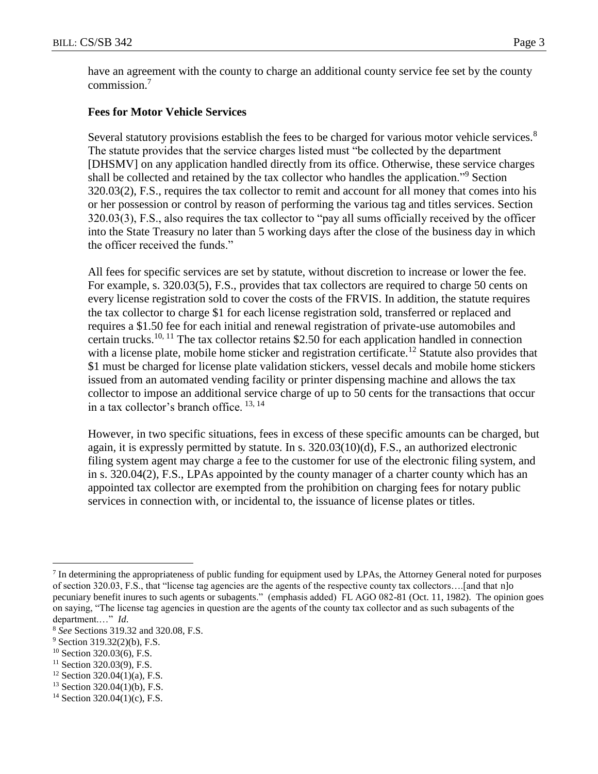have an agreement with the county to charge an additional county service fee set by the county commission.<sup>7</sup>

# **Fees for Motor Vehicle Services**

Several statutory provisions establish the fees to be charged for various motor vehicle services.<sup>8</sup> The statute provides that the service charges listed must "be collected by the department [DHSMV] on any application handled directly from its office. Otherwise, these service charges shall be collected and retained by the tax collector who handles the application."<sup>9</sup> Section 320.03(2), F.S., requires the tax collector to remit and account for all money that comes into his or her possession or control by reason of performing the various tag and titles services. Section 320.03(3), F.S., also requires the tax collector to "pay all sums officially received by the officer into the State Treasury no later than 5 working days after the close of the business day in which the officer received the funds."

All fees for specific services are set by statute, without discretion to increase or lower the fee. For example, s. 320.03(5), F.S., provides that tax collectors are required to charge 50 cents on every license registration sold to cover the costs of the FRVIS. In addition, the statute requires the tax collector to charge \$1 for each license registration sold, transferred or replaced and requires a \$1.50 fee for each initial and renewal registration of private-use automobiles and certain trucks.<sup>10, 11</sup> The tax collector retains \$2.50 for each application handled in connection with a license plate, mobile home sticker and registration certificate.<sup>12</sup> Statute also provides that \$1 must be charged for license plate validation stickers, vessel decals and mobile home stickers issued from an automated vending facility or printer dispensing machine and allows the tax collector to impose an additional service charge of up to 50 cents for the transactions that occur in a tax collector's branch office.  $^{13, 14}$ 

However, in two specific situations, fees in excess of these specific amounts can be charged, but again, it is expressly permitted by statute. In s. 320.03(10)(d), F.S., an authorized electronic filing system agent may charge a fee to the customer for use of the electronic filing system, and in s. 320.04(2), F.S., LPAs appointed by the county manager of a charter county which has an appointed tax collector are exempted from the prohibition on charging fees for notary public services in connection with, or incidental to, the issuance of license plates or titles.

 $<sup>7</sup>$  In determining the appropriateness of public funding for equipment used by LPAs, the Attorney General noted for purposes</sup> of section 320.03, F.S., that "license tag agencies are the agents of the respective county tax collectors….[and that n]o pecuniary benefit inures to such agents or subagents." (emphasis added) FL AGO 082-81 (Oct. 11, 1982). The opinion goes on saying, "The license tag agencies in question are the agents of the county tax collector and as such subagents of the department.…" *Id*.

<sup>8</sup> *See* Sections 319.32 and 320.08, F.S.

 $9$  Section 319.32(2)(b), F.S.

<sup>10</sup> Section 320.03(6), F.S.

 $11$  Section 320.03(9), F.S.

 $12$  Section 320.04(1)(a), F.S.

 $13$  Section 320.04(1)(b), F.S.

<sup>14</sup> Section 320.04(1)(c), F.S.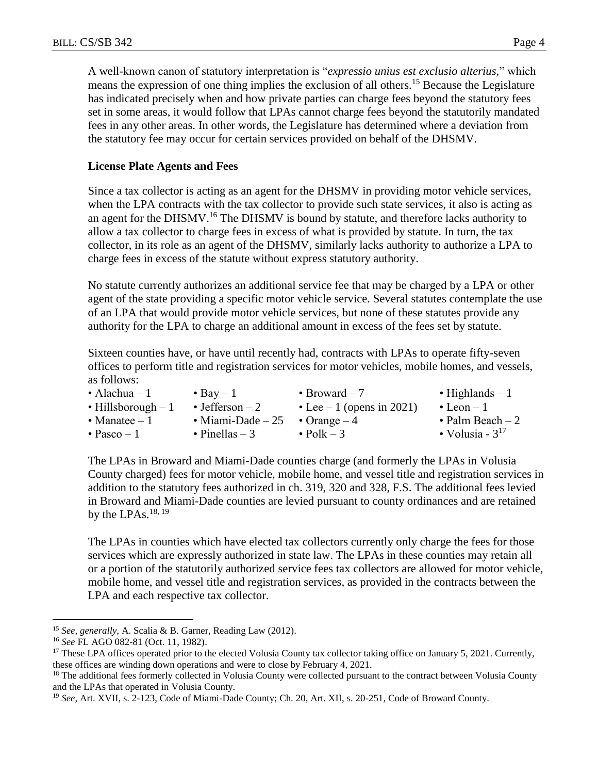A well-known canon of statutory interpretation is "*expressio unius est exclusio alterius,*" which means the expression of one thing implies the exclusion of all others.<sup>15</sup> Because the Legislature has indicated precisely when and how private parties can charge fees beyond the statutory fees set in some areas, it would follow that LPAs cannot charge fees beyond the statutorily mandated fees in any other areas. In other words, the Legislature has determined where a deviation from the statutory fee may occur for certain services provided on behalf of the DHSMV.

## **License Plate Agents and Fees**

Since a tax collector is acting as an agent for the DHSMV in providing motor vehicle services, when the LPA contracts with the tax collector to provide such state services, it also is acting as an agent for the DHSMV.<sup>16</sup> The DHSMV is bound by statute, and therefore lacks authority to allow a tax collector to charge fees in excess of what is provided by statute. In turn, the tax collector, in its role as an agent of the DHSMV, similarly lacks authority to authorize a LPA to charge fees in excess of the statute without express statutory authority.

No statute currently authorizes an additional service fee that may be charged by a LPA or other agent of the state providing a specific motor vehicle service. Several statutes contemplate the use of an LPA that would provide motor vehicle services, but none of these statutes provide any authority for the LPA to charge an additional amount in excess of the fees set by statute.

Sixteen counties have, or have until recently had, contracts with LPAs to operate fifty-seven offices to perform title and registration services for motor vehicles, mobile homes, and vessels, as follows:

| • Alachua – $1$             | $\bullet$ Bay $-1$         | • Broward $-7$             | • Highlands $-1$     |
|-----------------------------|----------------------------|----------------------------|----------------------|
| $\bullet$ Hillsborough $-1$ | $\bullet$ Jefferson $-2$   | • Lee $-1$ (opens in 2021) | $\bullet$ Leon $-1$  |
| • Manatee $-1$              | $\bullet$ Miami-Dade $-25$ | • Orange $-4$              | • Palm Beach $-2$    |
| $\bullet$ Pasco – 1         | $\bullet$ Pinellas – 3     | $\bullet$ Polk $-3$        | • Volusia - $3^{17}$ |

The LPAs in Broward and Miami-Dade counties charge (and formerly the LPAs in Volusia County charged) fees for motor vehicle, mobile home, and vessel title and registration services in addition to the statutory fees authorized in ch. 319, 320 and 328, F.S. The additional fees levied in Broward and Miami-Dade counties are levied pursuant to county ordinances and are retained by the LPAs. $^{18, 19}$ 

The LPAs in counties which have elected tax collectors currently only charge the fees for those services which are expressly authorized in state law. The LPAs in these counties may retain all or a portion of the statutorily authorized service fees tax collectors are allowed for motor vehicle, mobile home, and vessel title and registration services, as provided in the contracts between the LPA and each respective tax collector.

<sup>15</sup> *See, generally,* A. Scalia & B. Garner, Reading Law (2012).

<sup>16</sup> *See* FL AGO 082-81 (Oct. 11, 1982).

<sup>&</sup>lt;sup>17</sup> These LPA offices operated prior to the elected Volusia County tax collector taking office on January 5, 2021. Currently, these offices are winding down operations and were to close by February 4, 2021.

<sup>&</sup>lt;sup>18</sup> The additional fees formerly collected in Volusia County were collected pursuant to the contract between Volusia County and the LPAs that operated in Volusia County.

<sup>19</sup> *See*, Art. XVII, s. 2-123, Code of Miami-Dade County; Ch. 20, Art. XII, s. 20-251, Code of Broward County.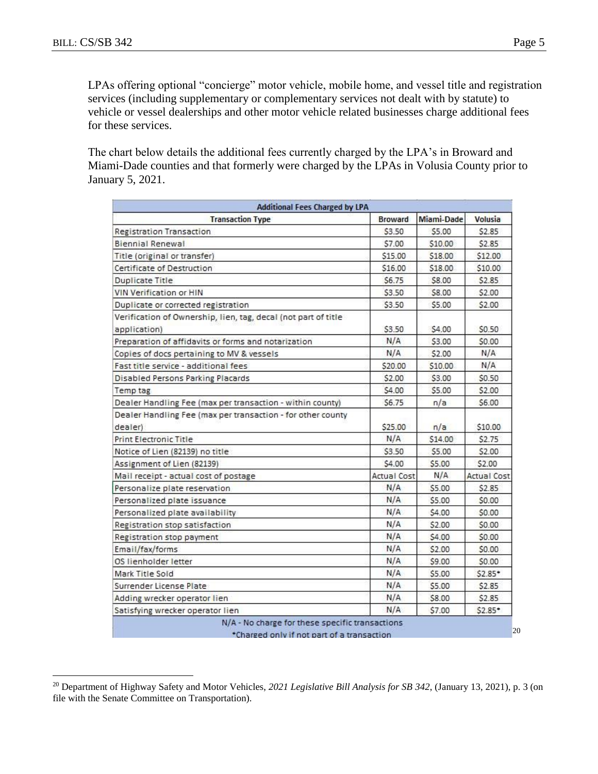$\overline{a}$ 

LPAs offering optional "concierge" motor vehicle, mobile home, and vessel title and registration services (including supplementary or complementary services not dealt with by statute) to vehicle or vessel dealerships and other motor vehicle related businesses charge additional fees for these services.

The chart below details the additional fees currently charged by the LPA's in Broward and Miami-Dade counties and that formerly were charged by the LPAs in Volusia County prior to January 5, 2021.

| <b>Transaction Type</b>                                                | <b>Broward</b>     | Miami-Dade | <b>Volusia</b>     |
|------------------------------------------------------------------------|--------------------|------------|--------------------|
| <b>Registration Transaction</b>                                        | \$3.50             | \$5.00     | \$2.85             |
| <b>Biennial Renewal</b>                                                | \$7.00             | \$10.00    | \$2.85             |
| Title (original or transfer)                                           | \$15.00            | \$18.00    | \$12.00            |
| Certificate of Destruction                                             | \$16.00            | \$18.00    | \$10.00            |
| Duplicate Title                                                        | \$6.75             | \$8.00     | \$2.85             |
| <b>VIN Verification or HIN</b>                                         | \$3.50             | \$8.00     | \$2.00             |
| Duplicate or corrected registration                                    | \$3.50             | \$5.00     | \$2.00             |
| Verification of Ownership, lien, tag, decal (not part of title         |                    | \$4.00     | \$0.50             |
| application)                                                           | \$3.50<br>N/A      |            |                    |
| Preparation of affidavits or forms and notarization                    |                    | \$3.00     | \$0.00             |
| Copies of docs pertaining to MV & vessels                              | N/A                | \$2.00     | N/A                |
| Fast title service - additional fees                                   | \$20.00            | \$10.00    | N/A                |
| Disabled Persons Parking Placards                                      | \$2.00             | \$3.00     | \$0.50             |
| Temp tag                                                               | \$4.00             | \$5.00     | \$2.00             |
| Dealer Handling Fee (max per transaction - within county)              | \$6.75             | n/a        | \$6.00             |
| Dealer Handling Fee (max per transaction - for other county<br>dealer) | \$25.00            | n/a        | \$10.00            |
| <b>Print Electronic Title</b>                                          | N/A                | \$14.00    | \$2.75             |
| Notice of Lien (82139) no title                                        | \$3.50             | \$5.00     | \$2.00             |
| Assignment of Lien (82139)                                             | \$4.00             | \$5.00     | \$2.00             |
| Mail receipt - actual cost of postage                                  | <b>Actual Cost</b> | N/A        | <b>Actual Cost</b> |
| Personalize plate reservation                                          | N/A                | \$5.00     | \$2.85             |
| Personalized plate issuance                                            | N/A                | \$5.00     | \$0.00             |
| Personalized plate availability                                        | N/A                | \$4.00     | \$0.00             |
| Registration stop satisfaction                                         | N/A                | \$2.00     | \$0.00             |
| Registration stop payment                                              | N/A                | \$4.00     | \$0.00             |
| Email/fax/forms                                                        | N/A                | \$2.00     | \$0.00             |
| OS lienholder letter                                                   | N/A                | \$9.00     | \$0.00             |
| Mark Title Sold                                                        | N/A                | \$5.00     | $52.85*$           |
| Surrender License Plate                                                | N/A                | \$5.00     | \$2.85             |
| Adding wrecker operator lien                                           | N/A                | \$8.00     | \$2.85             |
| Satisfying wrecker operator lien                                       | N/A                | \$7.00     | \$2.85*            |

\*Charged only if not part of a transaction

<sup>20</sup> Department of Highway Safety and Motor Vehicles, *2021 Legislative Bill Analysis for SB 342*, (January 13, 2021), p. 3 (on file with the Senate Committee on Transportation).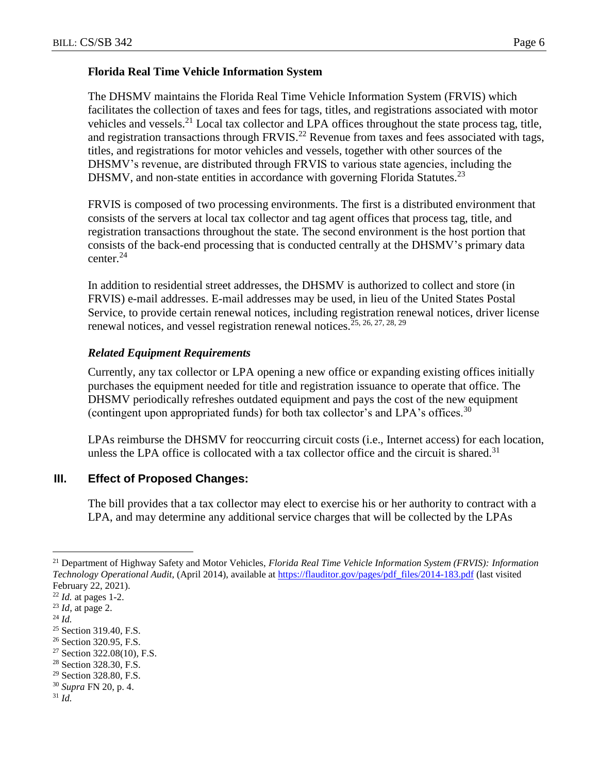#### **Florida Real Time Vehicle Information System**

The DHSMV maintains the Florida Real Time Vehicle Information System (FRVIS) which facilitates the collection of taxes and fees for tags, titles, and registrations associated with motor vehicles and vessels.<sup>21</sup> Local tax collector and LPA offices throughout the state process tag, title, and registration transactions through FRVIS.<sup>22</sup> Revenue from taxes and fees associated with tags, titles, and registrations for motor vehicles and vessels, together with other sources of the DHSMV's revenue, are distributed through FRVIS to various state agencies, including the DHSMV, and non-state entities in accordance with governing Florida Statutes.<sup>23</sup>

FRVIS is composed of two processing environments. The first is a distributed environment that consists of the servers at local tax collector and tag agent offices that process tag, title, and registration transactions throughout the state. The second environment is the host portion that consists of the back-end processing that is conducted centrally at the DHSMV's primary data center.<sup>24</sup>

In addition to residential street addresses, the DHSMV is authorized to collect and store (in FRVIS) e-mail addresses. E-mail addresses may be used, in lieu of the United States Postal Service, to provide certain renewal notices, including registration renewal notices, driver license renewal notices, and vessel registration renewal notices.<sup>25, 26, 27, 28, 29</sup>

# *Related Equipment Requirements*

Currently, any tax collector or LPA opening a new office or expanding existing offices initially purchases the equipment needed for title and registration issuance to operate that office. The DHSMV periodically refreshes outdated equipment and pays the cost of the new equipment (contingent upon appropriated funds) for both tax collector's and LPA's offices.<sup>30</sup>

LPAs reimburse the DHSMV for reoccurring circuit costs (i.e., Internet access) for each location, unless the LPA office is collocated with a tax collector office and the circuit is shared.<sup>31</sup>

# **III. Effect of Proposed Changes:**

The bill provides that a tax collector may elect to exercise his or her authority to contract with a LPA, and may determine any additional service charges that will be collected by the LPAs

 $\overline{a}$ 

<sup>27</sup> Section 322.08(10), F.S.

- <sup>30</sup> *Supra* FN 20, p. 4.
- <sup>31</sup> *Id.*

<sup>21</sup> Department of Highway Safety and Motor Vehicles, *Florida Real Time Vehicle Information System (FRVIS): Information Technology Operational Audit*, (April 2014), available at [https://flauditor.gov/pages/pdf\\_files/2014-183.pdf](https://flauditor.gov/pages/pdf_files/2014-183.pdf) (last visited February 22, 2021).

<sup>22</sup> *Id.* at pages 1-2.

<sup>23</sup> *Id,* at page 2.

<sup>24</sup> *Id.*

<sup>&</sup>lt;sup>25</sup> Section 319.40, F.S.

<sup>&</sup>lt;sup>26</sup> Section 320.95, F.S.

<sup>28</sup> Section 328.30, F.S.

<sup>29</sup> Section 328.80, F.S.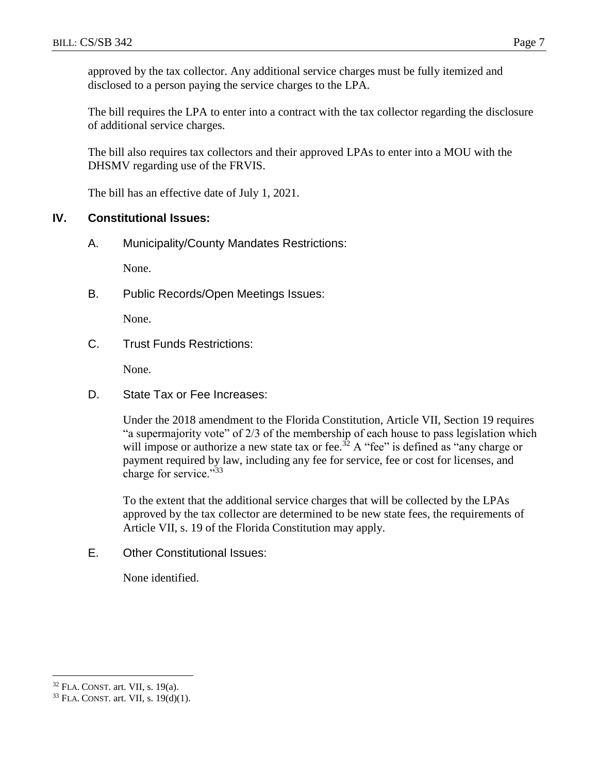approved by the tax collector. Any additional service charges must be fully itemized and disclosed to a person paying the service charges to the LPA.

The bill requires the LPA to enter into a contract with the tax collector regarding the disclosure of additional service charges.

The bill also requires tax collectors and their approved LPAs to enter into a MOU with the DHSMV regarding use of the FRVIS.

The bill has an effective date of July 1, 2021.

## **IV. Constitutional Issues:**

A. Municipality/County Mandates Restrictions:

None.

B. Public Records/Open Meetings Issues:

None.

C. Trust Funds Restrictions:

None.

D. State Tax or Fee Increases:

Under the 2018 amendment to the Florida Constitution, Article VII, Section 19 requires "a supermajority vote" of 2/3 of the membership of each house to pass legislation which will impose or authorize a new state tax or fee.<sup>32</sup> A "fee" is defined as "any charge or payment required by law, including any fee for service, fee or cost for licenses, and charge for service."<sup>33</sup>

To the extent that the additional service charges that will be collected by the LPAs approved by the tax collector are determined to be new state fees, the requirements of Article VII, s. 19 of the Florida Constitution may apply.

E. Other Constitutional Issues:

None identified.

<sup>32</sup> FLA. CONST. art. VII, s. 19(a).

<sup>33</sup> FLA. CONST. art. VII, s. 19(d)(1).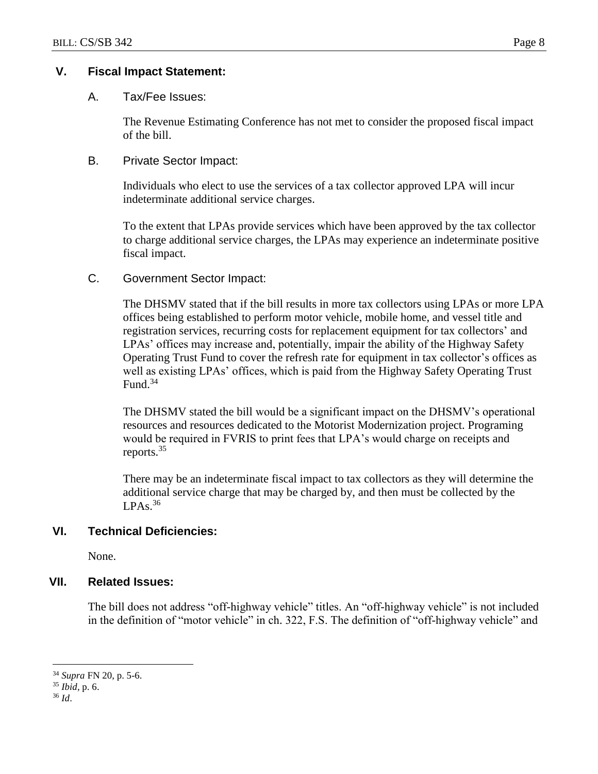# **V. Fiscal Impact Statement:**

#### A. Tax/Fee Issues:

The Revenue Estimating Conference has not met to consider the proposed fiscal impact of the bill.

#### B. Private Sector Impact:

Individuals who elect to use the services of a tax collector approved LPA will incur indeterminate additional service charges.

To the extent that LPAs provide services which have been approved by the tax collector to charge additional service charges, the LPAs may experience an indeterminate positive fiscal impact.

## C. Government Sector Impact:

The DHSMV stated that if the bill results in more tax collectors using LPAs or more LPA offices being established to perform motor vehicle, mobile home, and vessel title and registration services, recurring costs for replacement equipment for tax collectors' and LPAs' offices may increase and, potentially, impair the ability of the Highway Safety Operating Trust Fund to cover the refresh rate for equipment in tax collector's offices as well as existing LPAs' offices, which is paid from the Highway Safety Operating Trust Fund. 34

The DHSMV stated the bill would be a significant impact on the DHSMV's operational resources and resources dedicated to the Motorist Modernization project. Programing would be required in FVRIS to print fees that LPA's would charge on receipts and reports.<sup>35</sup>

There may be an indeterminate fiscal impact to tax collectors as they will determine the additional service charge that may be charged by, and then must be collected by the  $LPAs.<sup>36</sup>$ 

# **VI. Technical Deficiencies:**

None.

#### **VII. Related Issues:**

The bill does not address "off-highway vehicle" titles. An "off-highway vehicle" is not included in the definition of "motor vehicle" in ch. 322, F.S. The definition of "off-highway vehicle" and

<sup>34</sup> *Supra* FN 20, p. 5-6.

<sup>35</sup> *Ibid*, p. 6.

<sup>36</sup> *Id*.